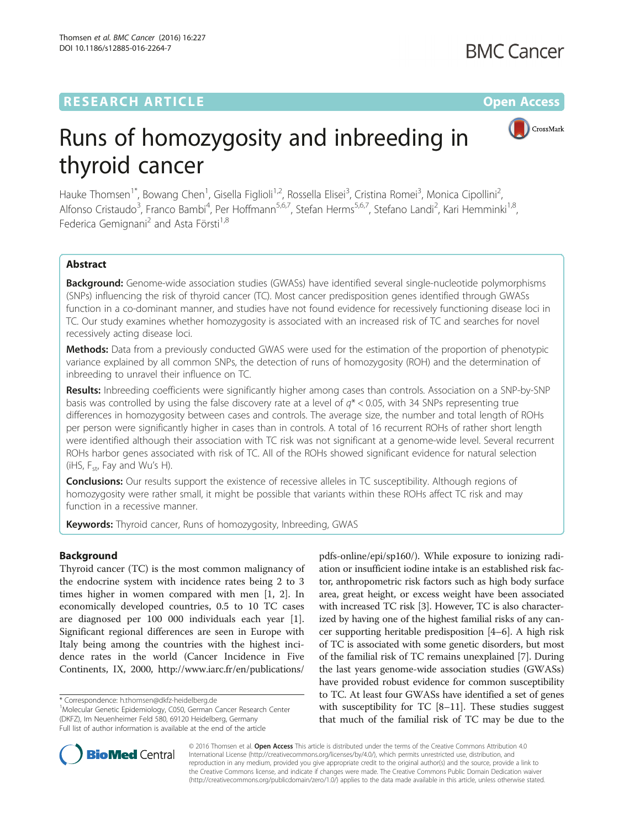## **RESEARCH ARTICLE External Structure Community Community Community Community Community Community Community Community**



# Runs of homozygosity and inbreeding in thyroid cancer

Hauke Thomsen<sup>1\*</sup>, Bowang Chen<sup>1</sup>, Gisella Figlioli<sup>1,2</sup>, Rossella Elisei<sup>3</sup>, Cristina Romei<sup>3</sup>, Monica Cipollini<sup>2</sup> , Alfonso Cristaudo<sup>3</sup>, Franco Bambi<sup>4</sup>, Per Hoffmann<sup>5,6,7</sup>, Stefan Herms<sup>5,6,7</sup>, Stefano Landi<sup>2</sup>, Kari Hemminki<sup>1,8</sup>, Federica Gemignani<sup>2</sup> and Asta Försti<sup>1,8</sup>

## Abstract

**Background:** Genome-wide association studies (GWASs) have identified several single-nucleotide polymorphisms (SNPs) influencing the risk of thyroid cancer (TC). Most cancer predisposition genes identified through GWASs function in a co-dominant manner, and studies have not found evidence for recessively functioning disease loci in TC. Our study examines whether homozygosity is associated with an increased risk of TC and searches for novel recessively acting disease loci.

**Methods:** Data from a previously conducted GWAS were used for the estimation of the proportion of phenotypic variance explained by all common SNPs, the detection of runs of homozygosity (ROH) and the determination of inbreeding to unravel their influence on TC.

Results: Inbreeding coefficients were significantly higher among cases than controls. Association on a SNP-by-SNP basis was controlled by using the false discovery rate at a level of  $q^*$  < 0.05, with 34 SNPs representing true differences in homozygosity between cases and controls. The average size, the number and total length of ROHs per person were significantly higher in cases than in controls. A total of 16 recurrent ROHs of rather short length were identified although their association with TC risk was not significant at a genome-wide level. Several recurrent ROHs harbor genes associated with risk of TC. All of the ROHs showed significant evidence for natural selection (iHS,  $F_{st}$ , Fay and Wu's H).

**Conclusions:** Our results support the existence of recessive alleles in TC susceptibility. Although regions of homozygosity were rather small, it might be possible that variants within these ROHs affect TC risk and may function in a recessive manner.

Keywords: Thyroid cancer, Runs of homozygosity, Inbreeding, GWAS

## Background

Thyroid cancer (TC) is the most common malignancy of the endocrine system with incidence rates being 2 to 3 times higher in women compared with men [\[1](#page-9-0), [2\]](#page-9-0). In economically developed countries, 0.5 to 10 TC cases are diagnosed per 100 000 individuals each year [\[1](#page-9-0)]. Significant regional differences are seen in Europe with Italy being among the countries with the highest incidence rates in the world (Cancer Incidence in Five Continents, IX, 2000, [http://www.iarc.fr/en/publications/](http://www.iarc.fr/en/publications/pdfs-online/epi/sp160/)

\* Correspondence: [h.thomsen@dkfz-heidelberg.de](mailto:h.thomsen@dkfz-heidelberg.de) <sup>1</sup>

<sup>1</sup>Molecular Genetic Epidemiology, C050, German Cancer Research Center (DKFZ), Im Neuenheimer Feld 580, 69120 Heidelberg, Germany Full list of author information is available at the end of the article

[pdfs-online/epi/sp160/\)](http://www.iarc.fr/en/publications/pdfs-online/epi/sp160/). While exposure to ionizing radiation or insufficient iodine intake is an established risk factor, anthropometric risk factors such as high body surface area, great height, or excess weight have been associated with increased TC risk [\[3](#page-9-0)]. However, TC is also characterized by having one of the highest familial risks of any cancer supporting heritable predisposition [\[4](#page-9-0)–[6](#page-9-0)]. A high risk of TC is associated with some genetic disorders, but most of the familial risk of TC remains unexplained [\[7](#page-9-0)]. During the last years genome-wide association studies (GWASs) have provided robust evidence for common susceptibility to TC. At least four GWASs have identified a set of genes with susceptibility for TC [\[8](#page-9-0)–[11](#page-9-0)]. These studies suggest that much of the familial risk of TC may be due to the



© 2016 Thomsen et al. Open Access This article is distributed under the terms of the Creative Commons Attribution 4.0 International License [\(http://creativecommons.org/licenses/by/4.0/](http://creativecommons.org/licenses/by/4.0/)), which permits unrestricted use, distribution, and reproduction in any medium, provided you give appropriate credit to the original author(s) and the source, provide a link to the Creative Commons license, and indicate if changes were made. The Creative Commons Public Domain Dedication waiver [\(http://creativecommons.org/publicdomain/zero/1.0/](http://creativecommons.org/publicdomain/zero/1.0/)) applies to the data made available in this article, unless otherwise stated.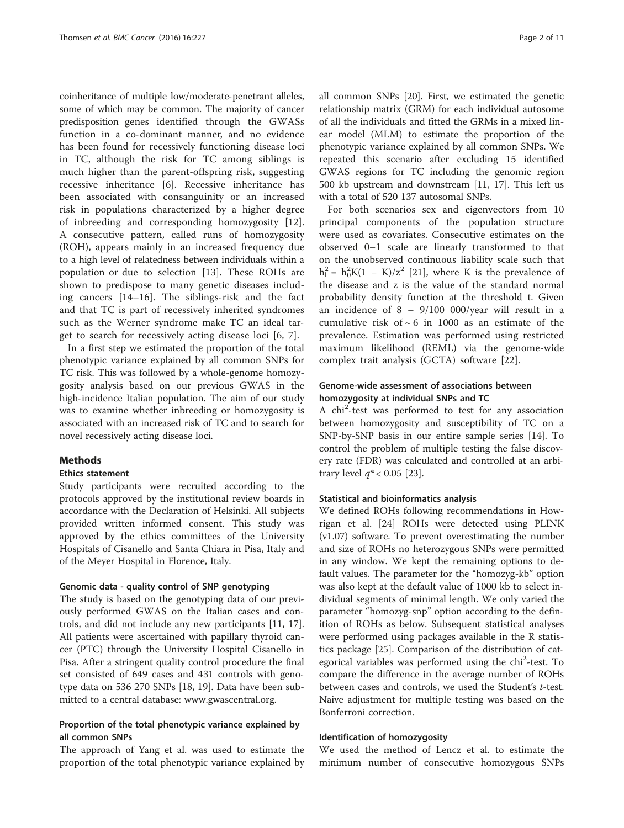coinheritance of multiple low/moderate-penetrant alleles, some of which may be common. The majority of cancer predisposition genes identified through the GWASs function in a co-dominant manner, and no evidence has been found for recessively functioning disease loci in TC, although the risk for TC among siblings is much higher than the parent-offspring risk, suggesting recessive inheritance [\[6](#page-9-0)]. Recessive inheritance has been associated with consanguinity or an increased risk in populations characterized by a higher degree of inbreeding and corresponding homozygosity [\[12](#page-9-0)]. A consecutive pattern, called runs of homozygosity (ROH), appears mainly in an increased frequency due to a high level of relatedness between individuals within a population or due to selection [\[13](#page-9-0)]. These ROHs are shown to predispose to many genetic diseases including cancers [[14](#page-9-0)–[16\]](#page-9-0). The siblings-risk and the fact and that TC is part of recessively inherited syndromes such as the Werner syndrome make TC an ideal target to search for recessively acting disease loci [\[6](#page-9-0), [7](#page-9-0)].

In a first step we estimated the proportion of the total phenotypic variance explained by all common SNPs for TC risk. This was followed by a whole-genome homozygosity analysis based on our previous GWAS in the high-incidence Italian population. The aim of our study was to examine whether inbreeding or homozygosity is associated with an increased risk of TC and to search for novel recessively acting disease loci.

#### Methods

## Ethics statement

Study participants were recruited according to the protocols approved by the institutional review boards in accordance with the Declaration of Helsinki. All subjects provided written informed consent. This study was approved by the ethics committees of the University Hospitals of Cisanello and Santa Chiara in Pisa, Italy and of the Meyer Hospital in Florence, Italy.

### Genomic data - quality control of SNP genotyping

The study is based on the genotyping data of our previously performed GWAS on the Italian cases and controls, and did not include any new participants [[11, 17](#page-9-0)]. All patients were ascertained with papillary thyroid cancer (PTC) through the University Hospital Cisanello in Pisa. After a stringent quality control procedure the final set consisted of 649 cases and 431 controls with genotype data on 536 270 SNPs [[18, 19\]](#page-9-0). Data have been submitted to a central database: [www.gwascentral.org](http://www.gwascentral.org).

## Proportion of the total phenotypic variance explained by all common SNPs

The approach of Yang et al. was used to estimate the proportion of the total phenotypic variance explained by all common SNPs [[20](#page-9-0)]. First, we estimated the genetic relationship matrix (GRM) for each individual autosome of all the individuals and fitted the GRMs in a mixed linear model (MLM) to estimate the proportion of the phenotypic variance explained by all common SNPs. We repeated this scenario after excluding 15 identified GWAS regions for TC including the genomic region 500 kb upstream and downstream [[11](#page-9-0), [17](#page-9-0)]. This left us with a total of 520 137 autosomal SNPs.

For both scenarios sex and eigenvectors from 10 principal components of the population structure were used as covariates. Consecutive estimates on the observed 0–1 scale are linearly transformed to that on the unobserved continuous liability scale such that  $h_1^2 = h_0^2 K(1 - K)/z^2$  [[21\]](#page-9-0), where K is the prevalence of the disease and z is the value of the standard normal probability density function at the threshold t. Given an incidence of  $8 - 9/100 000$ /year will result in a cumulative risk of  $\sim$  6 in 1000 as an estimate of the prevalence. Estimation was performed using restricted maximum likelihood (REML) via the genome-wide complex trait analysis (GCTA) software [\[22](#page-10-0)].

## Genome-wide assessment of associations between homozygosity at individual SNPs and TC

A chi<sup>2</sup> -test was performed to test for any association between homozygosity and susceptibility of TC on a SNP-by-SNP basis in our entire sample series [\[14](#page-9-0)]. To control the problem of multiple testing the false discovery rate (FDR) was calculated and controlled at an arbitrary level  $q^*$  < 0.05 [[23](#page-10-0)].

#### Statistical and bioinformatics analysis

We defined ROHs following recommendations in Howrigan et al. [[24](#page-10-0)] ROHs were detected using PLINK (v1.07) software. To prevent overestimating the number and size of ROHs no heterozygous SNPs were permitted in any window. We kept the remaining options to default values. The parameter for the "homozyg-kb" option was also kept at the default value of 1000 kb to select individual segments of minimal length. We only varied the parameter "homozyg-snp" option according to the definition of ROHs as below. Subsequent statistical analyses were performed using packages available in the R statistics package [[25\]](#page-10-0). Comparison of the distribution of categorical variables was performed using the chi<sup>2</sup>-test. To compare the difference in the average number of ROHs between cases and controls, we used the Student's t-test. Naive adjustment for multiple testing was based on the Bonferroni correction.

#### Identification of homozygosity

We used the method of Lencz et al. to estimate the minimum number of consecutive homozygous SNPs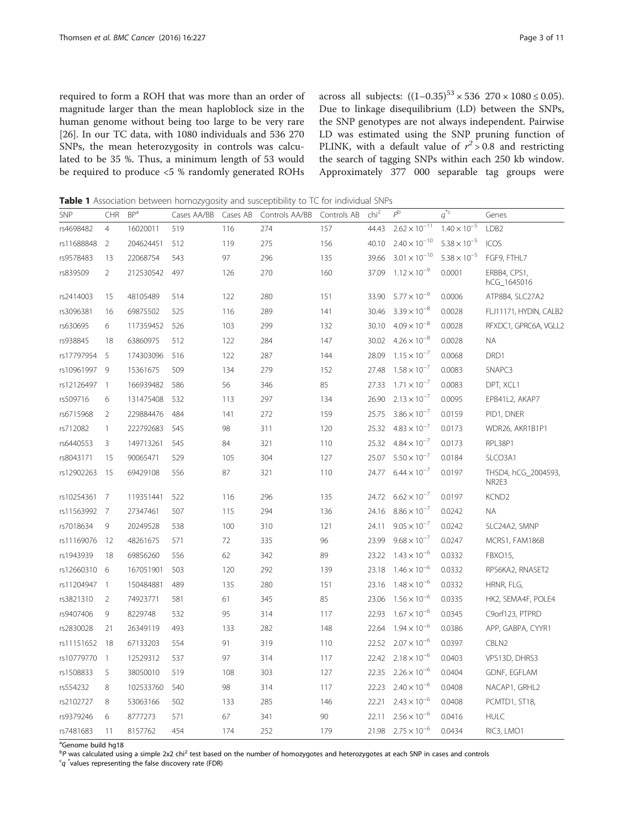<span id="page-2-0"></span>required to form a ROH that was more than an order of magnitude larger than the mean haploblock size in the human genome without being too large to be very rare [[26\]](#page-10-0). In our TC data, with 1080 individuals and 536 270 SNPs, the mean heterozygosity in controls was calculated to be 35 %. Thus, a minimum length of 53 would be required to produce <5 % randomly generated ROHs

across all subjects:  $((1-0.35)^{53} \times 536 \ 270 \times 1080 \le 0.05)$ . Due to linkage disequilibrium (LD) between the SNPs, the SNP genotypes are not always independent. Pairwise LD was estimated using the SNP pruning function of PLINK, with a default value of  $r^2 > 0.8$  and restricting the search of tagging SNPs within each 250 kb window. Approximately 377 000 separable tag groups were

Table 1 Association between homozygosity and susceptibility to TC for individual SNPs

| <b>SNP</b> | <b>CHR</b>     | $\mathsf{BP}^\mathsf{a}$ | Cases AA/BB | Cases AB | Controls AA/BB | Controls AB | chi <sup>2</sup> | $P^{\rm b}$            | $\hat{q}^{*_C}$       | Genes                                    |
|------------|----------------|--------------------------|-------------|----------|----------------|-------------|------------------|------------------------|-----------------------|------------------------------------------|
| rs4698482  | $\overline{4}$ | 16020011                 | 519         | 116      | 274            | 157         | 44.43            | $2.62 \times 10^{-11}$ | $1.40 \times 10^{-5}$ | LDB <sub>2</sub>                         |
| rs11688848 | 2              | 204624451                | 512         | 119      | 275            | 156         | 40.10            | $2.40 \times 10^{-10}$ | $5.38 \times 10^{-5}$ | <b>ICOS</b>                              |
| rs9578483  | 13             | 22068754                 | 543         | 97       | 296            | 135         | 39.66            | $3.01 \times 10^{-10}$ | $5.38 \times 10^{-5}$ | FGF9, FTHL7                              |
| rs839509   | 2              | 212530542                | 497         | 126      | 270            | 160         | 37.09            | $1.12 \times 10^{-9}$  | 0.0001                | ERBB4, CPS1,<br>hCG_1645016              |
| rs2414003  | 15             | 48105489                 | 514         | 122      | 280            | 151         | 33.90            | $5.77 \times 10^{-9}$  | 0.0006                | ATP8B4, SLC27A2                          |
| rs3096381  | 16             | 69875502                 | 525         | 116      | 289            | 141         | 30.46            | $3.39 \times 10^{-8}$  | 0.0028                | FLJ11171, HYDIN, CALB2                   |
| rs630695   | 6              | 117359452                | 526         | 103      | 299            | 132         | 30.10            | $4.09 \times 10^{-8}$  | 0.0028                | RFXDC1, GPRC6A, VGLL2                    |
| rs938845   | 18             | 63860975                 | 512         | 122      | 284            | 147         | 30.02            | $4.26 \times 10^{-8}$  | 0.0028                | <b>NA</b>                                |
| rs17797954 | 5              | 174303096                | 516         | 122      | 287            | 144         | 28.09            | $1.15 \times 10^{-7}$  | 0.0068                | DRD1                                     |
| rs10961997 | 9              | 15361675                 | 509         | 134      | 279            | 152         | 27.48            | $1.58 \times 10^{-7}$  | 0.0083                | SNAPC3                                   |
| rs12126497 | $\overline{1}$ | 166939482                | 586         | 56       | 346            | 85          | 27.33            | $1.71 \times 10^{-7}$  | 0.0083                | DPT, XCL1                                |
| rs509716   | 6              | 131475408                | 532         | 113      | 297            | 134         | 26.90            | $2.13 \times 10^{-7}$  | 0.0095                | EPB41L2, AKAP7                           |
| rs6715968  | $\overline{2}$ | 229884476                | 484         | 141      | 272            | 159         | 25.75            | $3.86 \times 10^{-7}$  | 0.0159                | PID1, DNER                               |
| rs712082   | $\overline{1}$ | 222792683                | 545         | 98       | 311            | 120         | 25.32            | $4.83 \times 10^{-7}$  | 0.0173                | WDR26, AKR1B1P1                          |
| rs6440553  | 3              | 149713261                | 545         | 84       | 321            | 110         | 25.32            | $4.84 \times 10^{-7}$  | 0.0173                | RPL38P1                                  |
| rs8043171  | 15             | 90065471                 | 529         | 105      | 304            | 127         | 25.07            | $5.50 \times 10^{-7}$  | 0.0184                | SLCO3A1                                  |
| rs12902263 | 15             | 69429108                 | 556         | 87       | 321            | 110         | 24.77            | $6.44 \times 10^{-7}$  | 0.0197                | THSD4, hCG_2004593,<br>NR <sub>2E3</sub> |
| rs10254361 | 7              | 119351441                | 522         | 116      | 296            | 135         | 24.72            | $6.62 \times 10^{-7}$  | 0.0197                | KCND <sub>2</sub>                        |
| rs11563992 | 7              | 27347461                 | 507         | 115      | 294            | 136         | 24.16            | $8.86 \times 10^{-7}$  | 0.0242                | <b>NA</b>                                |
| rs7018634  | 9              | 20249528                 | 538         | 100      | 310            | 121         | 24.11            | $9.05 \times 10^{-7}$  | 0.0242                | SLC24A2, SMNP                            |
| rs11169076 | 12             | 48261675                 | 571         | 72       | 335            | 96          | 23.99            | $9.68 \times 10^{-7}$  | 0.0247                | MCRS1, FAM186B                           |
| rs1943939  | 18             | 69856260                 | 556         | 62       | 342            | 89          | 23.22            | $1.43 \times 10^{-6}$  | 0.0332                | FBXO15,                                  |
| rs12660310 | 6              | 167051901                | 503         | 120      | 292            | 139         | 23.18            | $1.46 \times 10^{-6}$  | 0.0332                | RPS6KA2, RNASET2                         |
| rs11204947 | $\overline{1}$ | 150484881                | 489         | 135      | 280            | 151         | 23.16            | $1.48 \times 10^{-6}$  | 0.0332                | HRNR, FLG,                               |
| rs3821310  | $\overline{2}$ | 74923771                 | 581         | 61       | 345            | 85          | 23.06            | $1.56 \times 10^{-6}$  | 0.0335                | HK2, SEMA4F, POLE4                       |
| rs9407406  | 9              | 8229748                  | 532         | 95       | 314            | 117         | 22.93            | $1.67 \times 10^{-6}$  | 0.0345                | C9orf123, PTPRD                          |
| rs2830028  | 21             | 26349119                 | 493         | 133      | 282            | 148         | 22.64            | $1.94 \times 10^{-6}$  | 0.0386                | APP, GABPA, CYYR1                        |
| rs11151652 | -18            | 67133203                 | 554         | 91       | 319            | 110         | 22.52            | $2.07 \times 10^{-6}$  | 0.0397                | CBLN <sub>2</sub>                        |
| rs10779770 | $\overline{1}$ | 12529312                 | 537         | 97       | 314            | 117         | 22.42            | $2.18 \times 10^{-6}$  | 0.0403                | VPS13D, DHRS3                            |
| rs1508833  | 5              | 38050010                 | 519         | 108      | 303            | 127         | 22.35            | $2.26 \times 10^{-6}$  | 0.0404                | GDNF, EGFLAM                             |
| rs554232   | 8              | 102533760                | 540         | 98       | 314            | 117         | 22.23            | $2.40 \times 10^{-6}$  | 0.0408                | NACAP1, GRHL2                            |
| rs2102727  | 8              | 53063166                 | 502         | 133      | 285            | 146         | 22.21            | $2.43 \times 10^{-6}$  | 0.0408                | PCMTD1, ST18,                            |
| rs9379246  | 6              | 8777273                  | 571         | 67       | 341            | 90          | 22.11            | $2.56 \times 10^{-6}$  | 0.0416                | <b>HULC</b>                              |
| rs7481683  | 11             | 8157762                  | 454         | 174      | 252            | 179         | 21.98            | $2.75 \times 10^{-6}$  | 0.0434                | RIC3, LMO1                               |

<sup>a</sup>Genome build hg18

bp was calculated using a simple 2x2 chi<sup>2</sup> test based on the number of homozygotes and heterozygotes at each SNP in cases and controls<br>Sa "values representing the false discoveny rate (EDP)

 $q$   $\checkmark$  values representing the false discovery rate (FDR)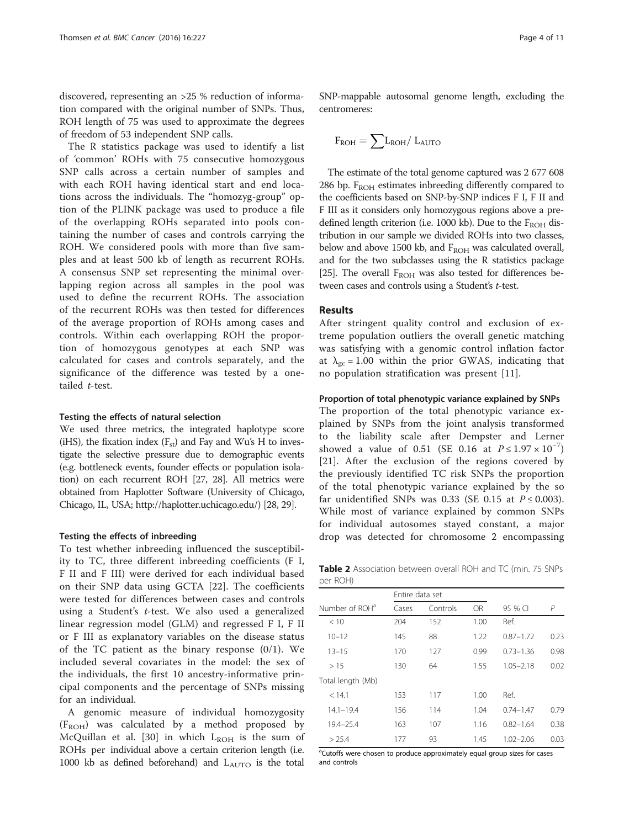<span id="page-3-0"></span>discovered, representing an >25 % reduction of information compared with the original number of SNPs. Thus, ROH length of 75 was used to approximate the degrees of freedom of 53 independent SNP calls.

The R statistics package was used to identify a list of 'common' ROHs with 75 consecutive homozygous SNP calls across a certain number of samples and with each ROH having identical start and end locations across the individuals. The "homozyg-group" option of the PLINK package was used to produce a file of the overlapping ROHs separated into pools containing the number of cases and controls carrying the ROH. We considered pools with more than five samples and at least 500 kb of length as recurrent ROHs. A consensus SNP set representing the minimal overlapping region across all samples in the pool was used to define the recurrent ROHs. The association of the recurrent ROHs was then tested for differences of the average proportion of ROHs among cases and controls. Within each overlapping ROH the proportion of homozygous genotypes at each SNP was calculated for cases and controls separately, and the significance of the difference was tested by a onetailed t-test.

#### Testing the effects of natural selection

We used three metrics, the integrated haplotype score (iHS), the fixation index  $(F_{st})$  and Fay and Wu's H to investigate the selective pressure due to demographic events (e.g. bottleneck events, founder effects or population isolation) on each recurrent ROH [[27](#page-10-0), [28](#page-10-0)]. All metrics were obtained from Haplotter Software (University of Chicago, Chicago, IL, USA; [http://haplotter.uchicago.edu/\)](http://haplotter.uchicago.edu/) [[28](#page-10-0), [29](#page-10-0)].

#### Testing the effects of inbreeding

To test whether inbreeding influenced the susceptibility to TC, three different inbreeding coefficients (F I, F II and F III) were derived for each individual based on their SNP data using GCTA [[22\]](#page-10-0). The coefficients were tested for differences between cases and controls using a Student's t-test. We also used a generalized linear regression model (GLM) and regressed F I, F II or F III as explanatory variables on the disease status of the TC patient as the binary response (0/1). We included several covariates in the model: the sex of the individuals, the first 10 ancestry-informative principal components and the percentage of SNPs missing for an individual.

A genomic measure of individual homozygosity  $(F_{ROH})$  was calculated by a method proposed by McQuillan et al. [\[30](#page-10-0)] in which  $L_{ROH}$  is the sum of ROHs per individual above a certain criterion length (i.e. 1000 kb as defined beforehand) and  $L_{\text{AUTO}}$  is the total SNP-mappable autosomal genome length, excluding the centromeres:

$$
F_{ROH} = \sum L_{ROH}/\ L_{AUTO}
$$

The estimate of the total genome captured was 2 677 608 286 bp.  $F_{ROH}$  estimates inbreeding differently compared to the coefficients based on SNP-by-SNP indices F I, F II and F III as it considers only homozygous regions above a predefined length criterion (i.e. 1000 kb). Due to the  $F_{ROH}$  distribution in our sample we divided ROHs into two classes, below and above 1500 kb, and  $F_{ROH}$  was calculated overall, and for the two subclasses using the R statistics package [[25](#page-10-0)]. The overall  $F_{ROH}$  was also tested for differences between cases and controls using a Student's t-test.

#### Results

After stringent quality control and exclusion of extreme population outliers the overall genetic matching was satisfying with a genomic control inflation factor at  $\lambda_{gc} = 1.00$  within the prior GWAS, indicating that no population stratification was present [[11\]](#page-9-0).

#### Proportion of total phenotypic variance explained by SNPs

The proportion of the total phenotypic variance explained by SNPs from the joint analysis transformed to the liability scale after Dempster and Lerner showed a value of 0.51 (SE 0.16 at  $P \le 1.97 \times 10^{-7}$ ) [[21\]](#page-9-0). After the exclusion of the regions covered by the previously identified TC risk SNPs the proportion of the total phenotypic variance explained by the so far unidentified SNPs was 0.33 (SE 0.15 at  $P \le 0.003$ ). While most of variance explained by common SNPs for individual autosomes stayed constant, a major drop was detected for chromosome 2 encompassing

Table 2 Association between overall ROH and TC (min. 75 SNPs per ROH)

|                            | Entire data set |          |      |               |      |
|----------------------------|-----------------|----------|------|---------------|------|
| Number of ROH <sup>a</sup> | Cases           | Controls | OR.  | 95 % CI       | Р    |
| < 10                       | 204             | 152      | 1.00 | Ref.          |      |
| $10 - 12$                  | 145             | 88       | 1.22 | $0.87 - 1.72$ | 0.23 |
| $13 - 15$                  | 170             | 127      | 0.99 | $0.73 - 1.36$ | 0.98 |
| >15                        | 130             | 64       | 1.55 | $1.05 - 2.18$ | 0.02 |
| Total length (Mb)          |                 |          |      |               |      |
| < 14.1                     | 153             | 117      | 1.00 | Ref.          |      |
| $14.1 - 19.4$              | 156             | 114      | 1.04 | $0.74 - 1.47$ | 0.79 |
| 19.4-25.4                  | 163             | 107      | 1.16 | $0.82 - 1.64$ | 0.38 |
| > 25.4                     | 177             | 93       | 1.45 | $1.02 - 2.06$ | 0.03 |

<sup>a</sup>Cutoffs were chosen to produce approximately equal group sizes for cases and controls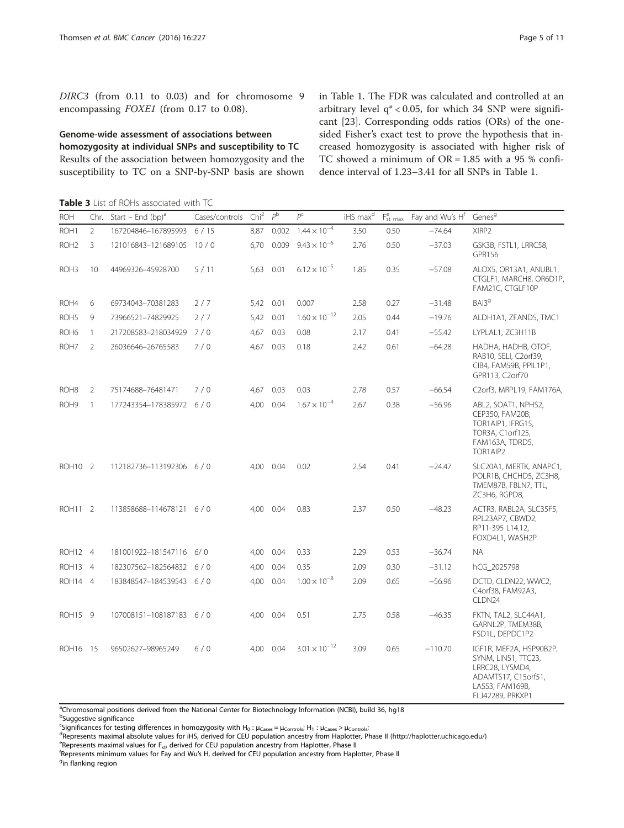<span id="page-4-0"></span>DIRC3 (from 0.11 to 0.03) and for chromosome 9 encompassing FOXE1 (from 0.17 to 0.08).

Genome-wide assessment of associations between homozygosity at individual SNPs and susceptibility to TC Results of the association between homozygosity and the susceptibility to TC on a SNP-by-SNP basis are shown

Table 3 List of ROHs associated with TC

in Table [1](#page-2-0). The FDR was calculated and controlled at an arbitrary level  $q^*$  < 0.05, for which 34 SNP were significant [\[23](#page-10-0)]. Corresponding odds ratios (ORs) of the onesided Fisher's exact test to prove the hypothesis that increased homozygosity is associated with higher risk of TC showed a minimum of  $OR = 1.85$  with a 95 % confidence interval of 1.23–3.41 for all SNPs in Table [1](#page-2-0).

| <b>ROH</b>       |                | Chr. Start – End (bp) <sup>a</sup> | Cases/controls | Chi <sup>2</sup> | $P^{\rm b}$ | $\mathsf{p} \mathsf{c}$ | iHS max <sup>d</sup> | $F_{\rm st\ max}^{\rm e}$ | Fay and Wu's H <sup>t</sup> | Genes <sup>g</sup>                                                                                                              |
|------------------|----------------|------------------------------------|----------------|------------------|-------------|-------------------------|----------------------|---------------------------|-----------------------------|---------------------------------------------------------------------------------------------------------------------------------|
| ROH <sub>1</sub> | $\overline{2}$ | 167204846-167895993                | 6/15           | 8.87             | 0.002       | $1.44 \times 10^{-4}$   | 3.50                 | 0.50                      | $-74.64$                    | XIRP2                                                                                                                           |
| ROH <sub>2</sub> | 3              | 121016843-121689105 10/0           |                | 6.70             | 0.009       | $9.43 \times 10^{-6}$   | 2.76                 | 0.50                      | $-37.03$                    | GSK3B, FSTL1, LRRC58,<br>GPR156                                                                                                 |
| ROH <sub>3</sub> | 10             | 44969326-45928700                  | 5/11           | 5,63             | 0.01        | $6.12 \times 10^{-5}$   | 1.85                 | 0.35                      | $-57.08$                    | ALOX5, OR13A1, ANUBL1,<br>CTGLF1, MARCH8, OR6D1P,<br>FAM21C, CTGLF10P                                                           |
| ROH4             | 6              | 69734043-70381283                  | 2/7            |                  | 5,42 0.01   | 0.007                   | 2.58                 | 0.27                      | $-31.48$                    | BAI3 <sup>9</sup>                                                                                                               |
| ROH <sub>5</sub> | 9              | 73966521-74829925                  | 2/7            | 5,42             | 0.01        | $1.60 \times 10^{-12}$  | 2.05                 | 0.44                      | $-19.76$                    | ALDH1A1, ZFAND5, TMC1                                                                                                           |
| ROH <sub>6</sub> | $\mathbf{1}$   | 217208583-218034929 7/0            |                | 4.67             | 0.03        | 0.08                    | 2.17                 | 0.41                      | $-55.42$                    | LYPLAL1, ZC3H11B                                                                                                                |
| ROH7             | $\overline{2}$ | 26036646-26765583                  | 7/0            | 4,67             | 0.03        | 0.18                    | 2.42                 | 0.61                      | $-64.28$                    | HADHA, HADHB, OTOF,<br>RAB10, SELI, C2orf39,<br>CIB4, FAM59B, PPIL1P1,<br>GPR113, C2orf70                                       |
| ROH <sub>8</sub> | 2              | 75174688-76481471                  | 7/0            | 4,67             | 0.03        | 0.03                    | 2.78                 | 0.57                      | $-66.54$                    | C2orf3, MRPL19, FAM176A,                                                                                                        |
| ROH9             | 1              | 177243354-178385972                | $6/0$          | 4.00             | 0.04        | $1.67 \times 10^{-4}$   | 2.67                 | 0.38                      | $-56.96$                    | ABL2, SOAT1, NPHS2,<br>CEP350, FAM20B,<br>TOR1AIP1, IFRG15,<br>TOR3A, C1orf125,<br>FAM163A, TDRD5,<br>TOR1AIP2                  |
| ROH10 2          |                | 112182736-113192306 6/0            |                |                  | 4.00 0.04   | 0.02                    | 2.54                 | 0.41                      | $-24.47$                    | SLC20A1, MERTK, ANAPC1,<br>POLR1B, CHCHD5, ZC3H8,<br>TMEM87B, FBLN7, TTL,<br>ZC3H6, RGPD8,                                      |
| ROH11 2          |                | 113858688-114678121 6/0            |                |                  | 4.00 0.04   | 0.83                    | 2.37                 | 0.50                      | $-48.23$                    | ACTR3, RABL2A, SLC35F5,<br>RPL23AP7, CBWD2,<br>RP11-395 L14.12,<br>FOXD4L1, WASH2P                                              |
| ROH12 4          |                | 181001922-181547116                | 6/0            | 4.00             | 0.04        | 0.33                    | 2.29                 | 0.53                      | $-36.74$                    | <b>NA</b>                                                                                                                       |
| ROH13 4          |                | 182307562-182564832 6 / 0          |                | 4,00             | 0.04        | 0.35                    | 2.09                 | 0.30                      | $-31.12$                    | hCG_2025798                                                                                                                     |
| ROH14 4          |                | 183848547-184539543 6 / 0          |                | 4.00             | 0.04        | $1.00 \times 10^{-8}$   | 2.09                 | 0.65                      | $-56.96$                    | DCTD, CLDN22, WWC2,<br>C4orf38, FAM92A3,<br>CLDN24                                                                              |
| ROH15 9          |                | 107008151-108187183 6/0            |                | 4,00             | 0.04        | 0.51                    | 2.75                 | 0.58                      | $-46.35$                    | FKTN, TAL2, SLC44A1,<br>GARNL2P, TMEM38B,<br>FSD1L, DEPDC1P2                                                                    |
| ROH16 15         |                | 96502627-98965249                  | 6/0            | 4.00             | 0.04        | $3.01 \times 10^{-12}$  | 3.09                 | 0.65                      | $-110.70$                   | IGF1R, MEF2A, HSP90B2P,<br>SYNM, LINS1, TTC23,<br>LRRC28, LYSMD4,<br>ADAMTS17, C15orf51,<br>LASS3, FAM169B,<br>FLJ42289, PRKXP1 |

<sup>a</sup>Chromosomal positions derived from the National Center for Biotechnology Information (NCBI), build 36, hg18

<sup>b</sup>Suggestive significance

dRepresents maximal absolute values for iHS, derived for CEU population ancestry from Haplotter, Phase II ([http://haplotter.uchicago.edu/\)](http://haplotter.uchicago.edu/)

<sup>e</sup>Represents maximal values for  $F_{str}$  derived for CEU population ancestry from Haplotter, Phase II

Significances for testing differences in homozygosity with H<sub>0</sub> : μ<sub>Cases</sub> = μ<sub>Controls</sub>; H<sub>1</sub> : μ<sub>Cases</sub> > μ<sub>Controls</sub>;<br><sup>d</sup>Penresents maximal absolute values for iHS, derived for CEU population apcestry from Haplotter.

<sup>&</sup>lt;sup>f</sup>Represents minimum values for Fay and Wu's H, derived for CEU population ancestry from Haplotter, Phase II <sup>g</sup>in flanking region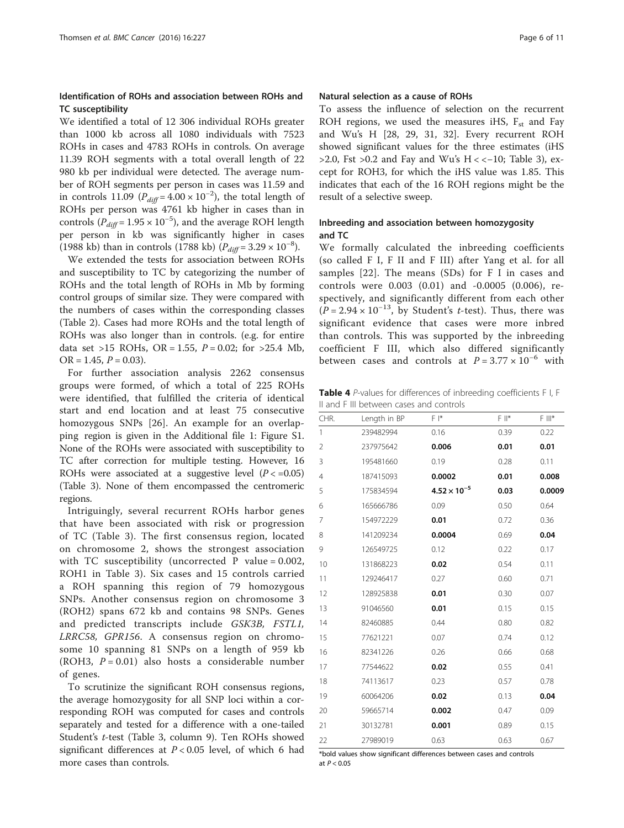## <span id="page-5-0"></span>Identification of ROHs and association between ROHs and TC susceptibility

We identified a total of 12 306 individual ROHs greater than 1000 kb across all 1080 individuals with 7523 ROHs in cases and 4783 ROHs in controls. On average 11.39 ROH segments with a total overall length of 22 980 kb per individual were detected. The average number of ROH segments per person in cases was 11.59 and in controls 11.09 ( $P_{diff} = 4.00 \times 10^{-2}$ ), the total length of ROHs per person was 4761 kb higher in cases than in controls ( $P_{diff}$ = 1.95 × 10<sup>-5</sup>), and the average ROH length per person in kb was significantly higher in cases (1988 kb) than in controls (1788 kb)  $(P_{diff} = 3.29 \times 10^{-8})$ .

We extended the tests for association between ROHs and susceptibility to TC by categorizing the number of ROHs and the total length of ROHs in Mb by forming control groups of similar size. They were compared with the numbers of cases within the corresponding classes (Table [2](#page-3-0)). Cases had more ROHs and the total length of ROHs was also longer than in controls. (e.g. for entire data set >15 ROHs, OR = 1.55,  $P = 0.02$ ; for >25.4 Mb,  $OR = 1.45, P = 0.03$ .

For further association analysis 2262 consensus groups were formed, of which a total of 225 ROHs were identified, that fulfilled the criteria of identical start and end location and at least 75 consecutive homozygous SNPs [[26\]](#page-10-0). An example for an overlapping region is given in the Additional file [1:](#page-9-0) Figure S1. None of the ROHs were associated with susceptibility to TC after correction for multiple testing. However, 16 ROHs were associated at a suggestive level  $(P < = 0.05)$ (Table [3](#page-4-0)). None of them encompassed the centromeric regions.

Intriguingly, several recurrent ROHs harbor genes that have been associated with risk or progression of TC (Table [3](#page-4-0)). The first consensus region, located on chromosome 2, shows the strongest association with TC susceptibility (uncorrected P value = 0.002, ROH1 in Table [3](#page-4-0)). Six cases and 15 controls carried a ROH spanning this region of 79 homozygous SNPs. Another consensus region on chromosome 3 (ROH2) spans 672 kb and contains 98 SNPs. Genes and predicted transcripts include GSK3B, FSTL1, LRRC58, GPR156. A consensus region on chromosome 10 spanning 81 SNPs on a length of 959 kb (ROH3,  $P = 0.01$ ) also hosts a considerable number of genes.

To scrutinize the significant ROH consensus regions, the average homozygosity for all SNP loci within a corresponding ROH was computed for cases and controls separately and tested for a difference with a one-tailed Student's t-test (Table [3](#page-4-0), column 9). Ten ROHs showed significant differences at  $P < 0.05$  level, of which 6 had more cases than controls.

## Natural selection as a cause of ROHs

To assess the influence of selection on the recurrent ROH regions, we used the measures iHS,  $F_{st}$  and Fay and Wu's H [\[28, 29, 31](#page-10-0), [32](#page-10-0)]. Every recurrent ROH showed significant values for the three estimates (iHS >2.0, Fst >0.2 and Fay and Wu's  $H < -10$ ; Table [3\)](#page-4-0), except for ROH3, for which the iHS value was 1.85. This indicates that each of the 16 ROH regions might be the result of a selective sweep.

## Inbreeding and association between homozygosity and TC

We formally calculated the inbreeding coefficients (so called F I, F II and F III) after Yang et al. for all samples [\[22\]](#page-10-0). The means (SDs) for F I in cases and controls were 0.003 (0.01) and -0.0005 (0.006), respectively, and significantly different from each other  $(P = 2.94 \times 10^{-13}$ , by Student's t-test). Thus, there was significant evidence that cases were more inbred than controls. This was supported by the inbreeding coefficient F III, which also differed significantly between cases and controls at  $P = 3.77 \times 10^{-6}$  with

Table 4 P-values for differences of inbreeding coefficients F I, F II and F III between cases and controls

| CHR. | Length in BP | $F  $ *               | $F  ^*$ | F III* |
|------|--------------|-----------------------|---------|--------|
| 1    | 239482994    | 0.16                  | 0.39    | 0.22   |
| 2    | 237975642    | 0.006                 | 0.01    | 0.01   |
| 3    | 195481660    | 0.19                  | 0.28    | 0.11   |
| 4    | 187415093    | 0.0002                | 0.01    | 0.008  |
| 5    | 175834594    | $4.52 \times 10^{-5}$ | 0.03    | 0.0009 |
| 6    | 165666786    | 0.09                  | 0.50    | 0.64   |
| 7    | 154972229    | 0.01                  | 0.72    | 0.36   |
| 8    | 141209234    | 0.0004                | 0.69    | 0.04   |
| 9    | 126549725    | 0.12                  | 0.22    | 0.17   |
| 10   | 131868223    | 0.02                  | 0.54    | 0.11   |
| 11   | 129246417    | 0.27                  | 0.60    | 0.71   |
| 12   | 128925838    | 0.01                  | 0.30    | 0.07   |
| 13   | 91046560     | 0.01                  | 0.15    | 0.15   |
| 14   | 82460885     | 0.44                  | 0.80    | 0.82   |
| 15   | 77621221     | 0.07                  | 0.74    | 0.12   |
| 16   | 82341226     | 0.26                  | 0.66    | 0.68   |
| 17   | 77544622     | 0.02                  | 0.55    | 0.41   |
| 18   | 74113617     | 0.23                  | 0.57    | 0.78   |
| 19   | 60064206     | 0.02                  | 0.13    | 0.04   |
| 20   | 59665714     | 0.002                 | 0.47    | 0.09   |
| 21   | 30132781     | 0.001                 | 0.89    | 0.15   |
| 22   | 27989019     | 0.63                  | 0.63    | 0.67   |

\*bold values show significant differences between cases and controls at  $P < 0.05$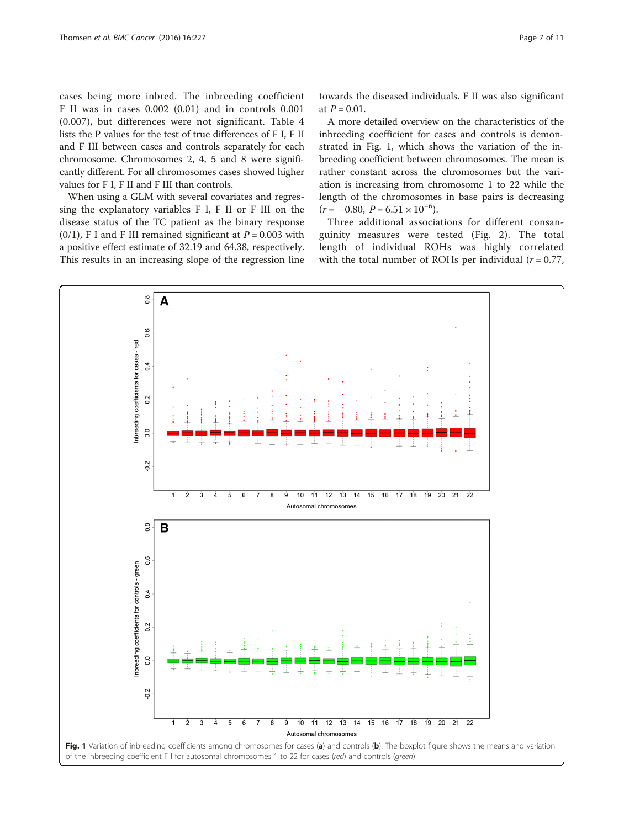cases being more inbred. The inbreeding coefficient F II was in cases 0.002 (0.01) and in controls 0.001 (0.007), but differences were not significant. Table [4](#page-5-0) lists the P values for the test of true differences of F I, F II and F III between cases and controls separately for each chromosome. Chromosomes 2, 4, 5 and 8 were significantly different. For all chromosomes cases showed higher values for F I, F II and F III than controls.

When using a GLM with several covariates and regressing the explanatory variables F I, F II or F III on the disease status of the TC patient as the binary response  $(0/1)$ , F I and F III remained significant at  $P = 0.003$  with a positive effect estimate of 32.19 and 64.38, respectively. This results in an increasing slope of the regression line

towards the diseased individuals. F II was also significant at  $P = 0.01$ .

A more detailed overview on the characteristics of the inbreeding coefficient for cases and controls is demonstrated in Fig. 1, which shows the variation of the inbreeding coefficient between chromosomes. The mean is rather constant across the chromosomes but the variation is increasing from chromosome 1 to 22 while the length of the chromosomes in base pairs is decreasing  $(r = -0.80, P = 6.51 \times 10^{-6}).$ 

Three additional associations for different consanguinity measures were tested (Fig. [2](#page-8-0)). The total length of individual ROHs was highly correlated with the total number of ROHs per individual ( $r = 0.77$ ,

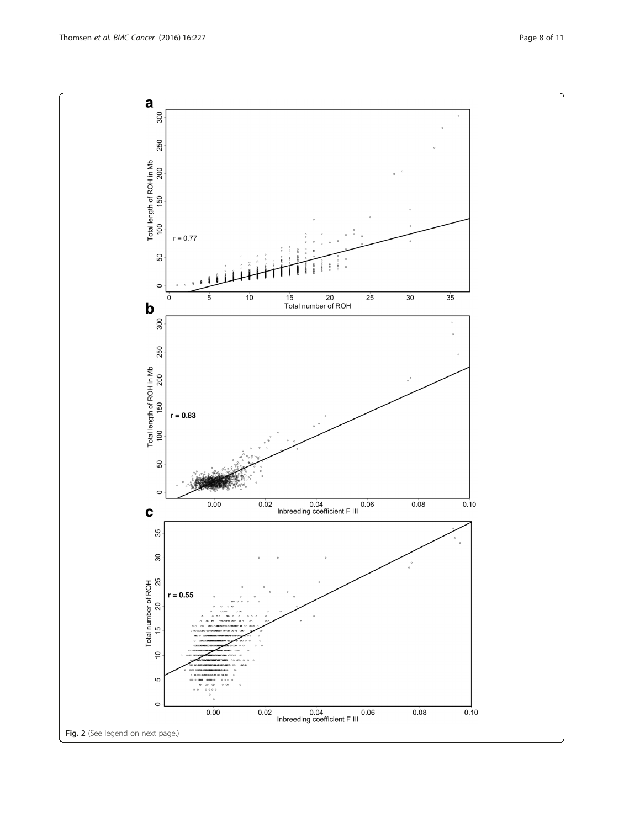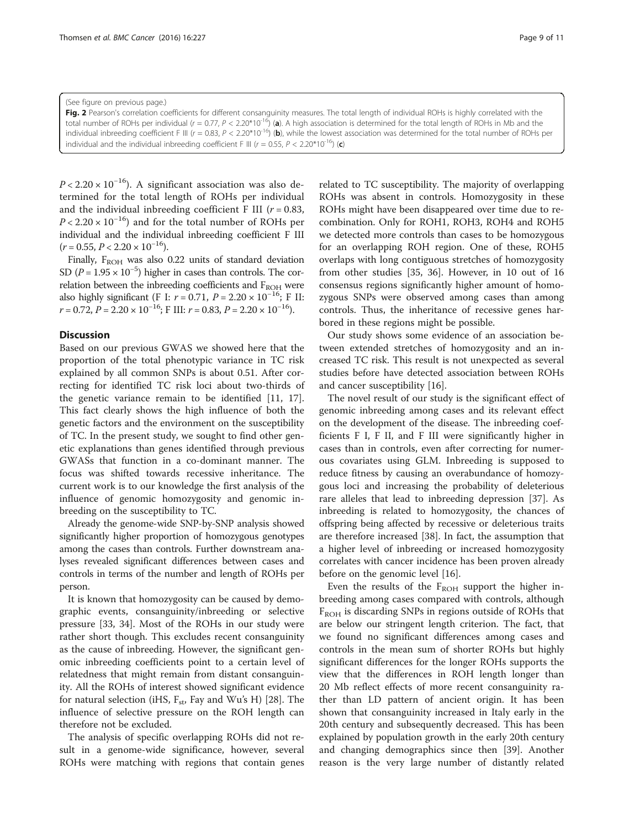<span id="page-8-0"></span>(See figure on previous page.)

Fig. 2 Pearson's correlation coefficients for different consanguinity measures. The total length of individual ROHs is highly correlated with the total number of ROHs per individual ( $r = 0.77$ ,  $P < 2.20*10^{-16}$ ) (a). A high association is determined for the total length of ROHs in Mb and the individual inbreeding coefficient F III ( $r = 0.83$ ,  $P < 2.20*10^{-16}$ ) (b), while the lowest association was determined for the total number of ROHs per individual and the individual inbreeding coefficient F III ( $r = 0.55$ ,  $P < 2.20*10^{-16}$ ) (c)

 $P < 2.20 \times 10^{-16}$ ). A significant association was also determined for the total length of ROHs per individual and the individual inbreeding coefficient F III ( $r = 0.83$ ,  $P < 2.20 \times 10^{-16}$ ) and for the total number of ROHs per individual and the individual inbreeding coefficient F III  $(r = 0.55, P < 2.20 \times 10^{-16}).$ 

Finally,  $F_{ROH}$  was also 0.22 units of standard deviation SD ( $P = 1.95 \times 10^{-5}$ ) higher in cases than controls. The correlation between the inbreeding coefficients and  $F_{ROH}$  were also highly significant (F I:  $r = 0.71$ ,  $P = 2.20 \times 10^{-16}$ ; F II:  $r = 0.72$ ,  $P = 2.20 \times 10^{-16}$ ; F III:  $r = 0.83$ ,  $P = 2.20 \times 10^{-16}$ ).

#### Discussion

Based on our previous GWAS we showed here that the proportion of the total phenotypic variance in TC risk explained by all common SNPs is about 0.51. After correcting for identified TC risk loci about two-thirds of the genetic variance remain to be identified [\[11, 17](#page-9-0)]. This fact clearly shows the high influence of both the genetic factors and the environment on the susceptibility of TC. In the present study, we sought to find other genetic explanations than genes identified through previous GWASs that function in a co-dominant manner. The focus was shifted towards recessive inheritance. The current work is to our knowledge the first analysis of the influence of genomic homozygosity and genomic inbreeding on the susceptibility to TC.

Already the genome-wide SNP-by-SNP analysis showed significantly higher proportion of homozygous genotypes among the cases than controls. Further downstream analyses revealed significant differences between cases and controls in terms of the number and length of ROHs per person.

It is known that homozygosity can be caused by demographic events, consanguinity/inbreeding or selective pressure [\[33, 34\]](#page-10-0). Most of the ROHs in our study were rather short though. This excludes recent consanguinity as the cause of inbreeding. However, the significant genomic inbreeding coefficients point to a certain level of relatedness that might remain from distant consanguinity. All the ROHs of interest showed significant evidence for natural selection (iHS,  $F_{st}$ , Fay and Wu's H) [\[28](#page-10-0)]. The influence of selective pressure on the ROH length can therefore not be excluded.

The analysis of specific overlapping ROHs did not result in a genome-wide significance, however, several ROHs were matching with regions that contain genes related to TC susceptibility. The majority of overlapping ROHs was absent in controls. Homozygosity in these ROHs might have been disappeared over time due to recombination. Only for ROH1, ROH3, ROH4 and ROH5 we detected more controls than cases to be homozygous for an overlapping ROH region. One of these, ROH5 overlaps with long contiguous stretches of homozygosity from other studies [[35](#page-10-0), [36](#page-10-0)]. However, in 10 out of 16 consensus regions significantly higher amount of homozygous SNPs were observed among cases than among controls. Thus, the inheritance of recessive genes harbored in these regions might be possible.

Our study shows some evidence of an association between extended stretches of homozygosity and an increased TC risk. This result is not unexpected as several studies before have detected association between ROHs and cancer susceptibility [\[16](#page-9-0)].

The novel result of our study is the significant effect of genomic inbreeding among cases and its relevant effect on the development of the disease. The inbreeding coefficients F I, F II, and F III were significantly higher in cases than in controls, even after correcting for numerous covariates using GLM. Inbreeding is supposed to reduce fitness by causing an overabundance of homozygous loci and increasing the probability of deleterious rare alleles that lead to inbreeding depression [\[37\]](#page-10-0). As inbreeding is related to homozygosity, the chances of offspring being affected by recessive or deleterious traits are therefore increased [\[38](#page-10-0)]. In fact, the assumption that a higher level of inbreeding or increased homozygosity correlates with cancer incidence has been proven already before on the genomic level [[16\]](#page-9-0).

Even the results of the  $F_{ROH}$  support the higher inbreeding among cases compared with controls, although  $F_{ROH}$  is discarding SNPs in regions outside of ROHs that are below our stringent length criterion. The fact, that we found no significant differences among cases and controls in the mean sum of shorter ROHs but highly significant differences for the longer ROHs supports the view that the differences in ROH length longer than 20 Mb reflect effects of more recent consanguinity rather than LD pattern of ancient origin. It has been shown that consanguinity increased in Italy early in the 20th century and subsequently decreased. This has been explained by population growth in the early 20th century and changing demographics since then [[39\]](#page-10-0). Another reason is the very large number of distantly related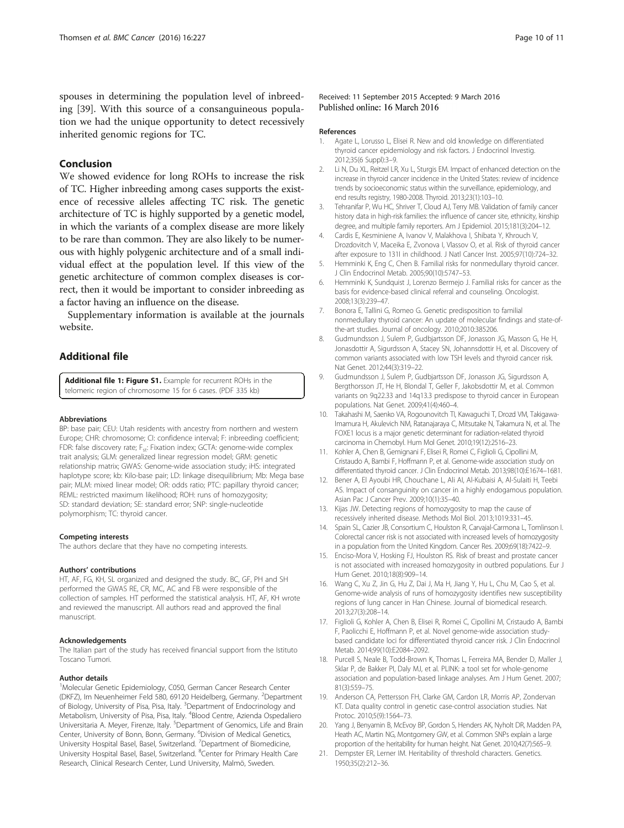<span id="page-9-0"></span>spouses in determining the population level of inbreeding [\[39](#page-10-0)]. With this source of a consanguineous population we had the unique opportunity to detect recessively inherited genomic regions for TC.

### Conclusion

We showed evidence for long ROHs to increase the risk of TC. Higher inbreeding among cases supports the existence of recessive alleles affecting TC risk. The genetic architecture of TC is highly supported by a genetic model, in which the variants of a complex disease are more likely to be rare than common. They are also likely to be numerous with highly polygenic architecture and of a small individual effect at the population level. If this view of the genetic architecture of common complex diseases is correct, then it would be important to consider inbreeding as a factor having an influence on the disease.

Supplementary information is available at the journals website.

## Additional file

[Additional file 1: Figure S1.](dx.doi.org/10.1186/s12885-016-2264-7) Example for recurrent ROHs in the telomeric region of chromosome 15 for 6 cases. (PDF 335 kb)

#### Abbreviations

BP: base pair; CEU: Utah residents with ancestry from northern and western Europe; CHR: chromosome; CI: confidence interval; F: inbreeding coefficient; FDR: false discovery rate; F<sub>st</sub>: Fixation index; GCTA: genome-wide complex trait analysis; GLM: generalized linear regression model; GRM: genetic relationship matrix; GWAS: Genome-wide association study; iHS: integrated haplotype score; kb: Kilo-base pair; LD: linkage disequilibrium; Mb: Mega base pair; MLM: mixed linear model; OR: odds ratio; PTC: papillary thyroid cancer; REML: restricted maximum likelihood; ROH: runs of homozygosity; SD: standard deviation; SE: standard error; SNP: single-nucleotide polymorphism; TC: thyroid cancer.

#### Competing interests

The authors declare that they have no competing interests.

#### Authors' contributions

HT, AF, FG, KH, SL organized and designed the study. BC, GF, PH and SH performed the GWAS RE, CR, MC, AC and FB were responsible of the collection of samples. HT performed the statistical analysis. HT, AF, KH wrote and reviewed the manuscript. All authors read and approved the final manuscript.

#### Acknowledgements

The Italian part of the study has received financial support from the Istituto Toscano Tumori.

#### Author details

<sup>1</sup>Molecular Genetic Epidemiology, C050, German Cancer Research Center (DKFZ), Im Neuenheimer Feld 580, 69120 Heidelberg, Germany. <sup>2</sup>Department of Biology, University of Pisa, Pisa, Italy. <sup>3</sup>Department of Endocrinology and Metabolism, University of Pisa, Pisa, Italy. <sup>4</sup>Blood Centre, Azienda Ospedaliero Universitaria A. Meyer, Firenze, Italy. <sup>5</sup>Department of Genomics, Life and Brain Center, University of Bonn, Bonn, Germany. <sup>6</sup>Division of Medical Genetics,<br>University Hospital Basel, Basel, Switzerland. <sup>7</sup>Department of Biomedicine, University Hospital Basel, Basel, Switzerland. <sup>8</sup>Center for Primary Health Care Research, Clinical Research Center, Lund University, Malmö, Sweden.

Received: 11 September 2015 Accepted: 9 March 2016 Published online: 16 March 2016

#### References

- 1. Agate L, Lorusso L, Elisei R. New and old knowledge on differentiated thyroid cancer epidemiology and risk factors. J Endocrinol Investig. 2012;35(6 Suppl):3–9.
- Li N, Du XL, Reitzel LR, Xu L, Sturgis EM. Impact of enhanced detection on the increase in thyroid cancer incidence in the United States: review of incidence trends by socioeconomic status within the surveillance, epidemiology, and end results registry, 1980-2008. Thyroid. 2013;23(1):103–10.
- 3. Tehranifar P, Wu HC, Shriver T, Cloud AJ, Terry MB. Validation of family cancer history data in high-risk families: the influence of cancer site, ethnicity, kinship degree, and multiple family reporters. Am J Epidemiol. 2015;181(3):204–12.
- 4. Cardis E, Kesminiene A, Ivanov V, Malakhova I, Shibata Y, Khrouch V, Drozdovitch V, Maceika E, Zvonova I, Vlassov O, et al. Risk of thyroid cancer after exposure to 131I in childhood. J Natl Cancer Inst. 2005;97(10):724–32.
- 5. Hemminki K, Eng C, Chen B. Familial risks for nonmedullary thyroid cancer. J Clin Endocrinol Metab. 2005;90(10):5747–53.
- 6. Hemminki K, Sundquist J, Lorenzo Bermejo J. Familial risks for cancer as the basis for evidence-based clinical referral and counseling. Oncologist. 2008;13(3):239–47.
- 7. Bonora E, Tallini G, Romeo G. Genetic predisposition to familial nonmedullary thyroid cancer: An update of molecular findings and state-ofthe-art studies. Journal of oncology. 2010;2010:385206.
- 8. Gudmundsson J, Sulem P, Gudbjartsson DF, Jonasson JG, Masson G, He H, Jonasdottir A, Sigurdsson A, Stacey SN, Johannsdottir H, et al. Discovery of common variants associated with low TSH levels and thyroid cancer risk. Nat Genet. 2012;44(3):319–22.
- 9. Gudmundsson J, Sulem P, Gudbjartsson DF, Jonasson JG, Sigurdsson A, Bergthorsson JT, He H, Blondal T, Geller F, Jakobsdottir M, et al. Common variants on 9q22.33 and 14q13.3 predispose to thyroid cancer in European populations. Nat Genet. 2009;41(4):460–4.
- 10. Takahashi M, Saenko VA, Rogounovitch TI, Kawaguchi T, Drozd VM, Takigawa-Imamura H, Akulevich NM, Ratanajaraya C, Mitsutake N, Takamura N, et al. The FOXE1 locus is a major genetic determinant for radiation-related thyroid carcinoma in Chernobyl. Hum Mol Genet. 2010;19(12):2516–23.
- 11. Kohler A, Chen B, Gemignani F, Elisei R, Romei C, Figlioli G, Cipollini M, Cristaudo A, Bambi F, Hoffmann P, et al. Genome-wide association study on differentiated thyroid cancer. J Clin Endocrinol Metab. 2013;98(10):E1674–1681.
- 12. Bener A, El Ayoubi HR, Chouchane L, Ali AI, Al-Kubaisi A, Al-Sulaiti H, Teebi AS. Impact of consanguinity on cancer in a highly endogamous population. Asian Pac J Cancer Prev. 2009;10(1):35–40.
- 13. Kijas JW. Detecting regions of homozygosity to map the cause of recessively inherited disease. Methods Mol Biol. 2013;1019:331–45.
- 14. Spain SL, Cazier JB, Consortium C, Houlston R, Carvajal-Carmona L, Tomlinson I. Colorectal cancer risk is not associated with increased levels of homozygosity in a population from the United Kingdom. Cancer Res. 2009;69(18):7422–9.
- 15. Enciso-Mora V, Hosking FJ, Houlston RS. Risk of breast and prostate cancer is not associated with increased homozygosity in outbred populations. Eur J Hum Genet. 2010;18(8):909–14.
- 16. Wang C, Xu Z, Jin G, Hu Z, Dai J, Ma H, Jiang Y, Hu L, Chu M, Cao S, et al. Genome-wide analysis of runs of homozygosity identifies new susceptibility regions of lung cancer in Han Chinese. Journal of biomedical research. 2013;27(3):208–14.
- 17. Figlioli G, Kohler A, Chen B, Elisei R, Romei C, Cipollini M, Cristaudo A, Bambi F, Paolicchi E, Hoffmann P, et al. Novel genome-wide association studybased candidate loci for differentiated thyroid cancer risk. J Clin Endocrinol Metab. 2014;99(10):E2084–2092.
- 18. Purcell S, Neale B, Todd-Brown K, Thomas L, Ferreira MA, Bender D, Maller J, Sklar P, de Bakker PI, Daly MJ, et al. PLINK: a tool set for whole-genome association and population-based linkage analyses. Am J Hum Genet. 2007; 81(3):559–75.
- 19. Anderson CA, Pettersson FH, Clarke GM, Cardon LR, Morris AP, Zondervan KT. Data quality control in genetic case-control association studies. Nat Protoc. 2010;5(9):1564–73.
- 20. Yang J, Benyamin B, McEvoy BP, Gordon S, Henders AK, Nyholt DR, Madden PA, Heath AC, Martin NG, Montgomery GW, et al. Common SNPs explain a large proportion of the heritability for human height. Nat Genet. 2010;42(7):565–9.
- 21. Dempster ER, Lerner IM. Heritability of threshold characters. Genetics. 1950;35(2):212–36.